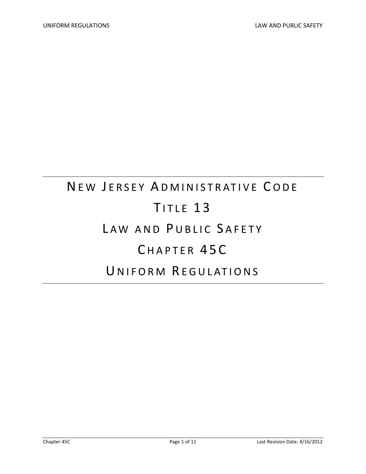# NEW JERSEY ADMINISTRATIVE CODE TITLE 13 LAW AND PUBLIC SAFETY CHAPTER 45C U NIFORM REGULATIONS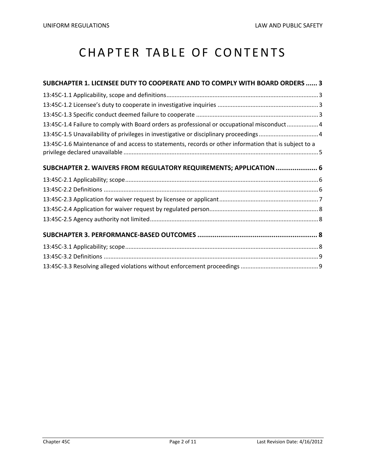# CHAPTER TABLE OF CONTENTS

| SUBCHAPTER 1. LICENSEE DUTY TO COOPERATE AND TO COMPLY WITH BOARD ORDERS  3                           |  |
|-------------------------------------------------------------------------------------------------------|--|
|                                                                                                       |  |
|                                                                                                       |  |
|                                                                                                       |  |
| 13:45C-1.4 Failure to comply with Board orders as professional or occupational misconduct4            |  |
| 13:45C-1.5 Unavailability of privileges in investigative or disciplinary proceedings4                 |  |
| 13:45C-1.6 Maintenance of and access to statements, records or other information that is subject to a |  |
| SUBCHAPTER 2. WAIVERS FROM REGULATORY REQUIREMENTS; APPLICATION  6                                    |  |
|                                                                                                       |  |
|                                                                                                       |  |
|                                                                                                       |  |
|                                                                                                       |  |
|                                                                                                       |  |
|                                                                                                       |  |
|                                                                                                       |  |
|                                                                                                       |  |
|                                                                                                       |  |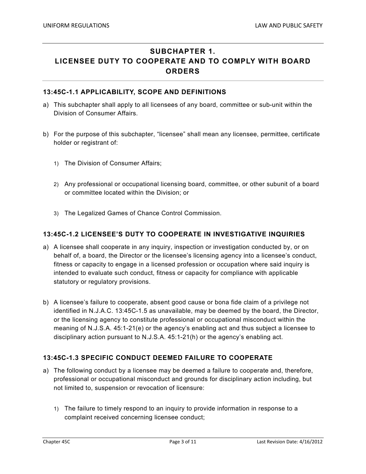## **SUBCHAPTER 1. LICENSEE DUTY TO COOPERATE AND TO COMPLY WITH BOARD ORDERS**

#### **13:45C-1.1 APPLICABILITY, SCOPE AND DEFINITIONS**

- a) This subchapter shall apply to all licensees of any board, committee or sub-unit within the Division of Consumer Affairs.
- b) For the purpose of this subchapter, "licensee" shall mean any licensee, permittee, certificate holder or registrant of:
	- 1) The Division of Consumer Affairs;
	- 2) Any professional or occupational licensing board, committee, or other subunit of a board or committee located within the Division; or
	- 3) The Legalized Games of Chance Control Commission.

#### **13:45C-1.2 LICENSEE'S DUTY TO COOPERATE IN INVESTIGATIVE INQUIRIES**

- a) A licensee shall cooperate in any inquiry, inspection or investigation conducted by, or on behalf of, a board, the Director or the licensee's licensing agency into a licensee's conduct, fitness or capacity to engage in a licensed profession or occupation where said inquiry is intended to evaluate such conduct, fitness or capacity for compliance with applicable statutory or regulatory provisions.
- b) A licensee's failure to cooperate, absent good cause or bona fide claim of a privilege not identified in N.J.A.C. 13:45C-1.5 as unavailable, may be deemed by the board, the Director, or the licensing agency to constitute professional or occupational misconduct within the meaning of N.J.S.A. 45:1-21(e) or the agency's enabling act and thus subject a licensee to disciplinary action pursuant to N.J.S.A. 45:1-21(h) or the agency's enabling act.

#### **13:45C-1.3 SPECIFIC CONDUCT DEEMED FAILURE TO COOPERATE**

- a) The following conduct by a licensee may be deemed a failure to cooperate and, therefore, professional or occupational misconduct and grounds for disciplinary action including, but not limited to, suspension or revocation of licensure:
	- 1) The failure to timely respond to an inquiry to provide information in response to a complaint received concerning licensee conduct;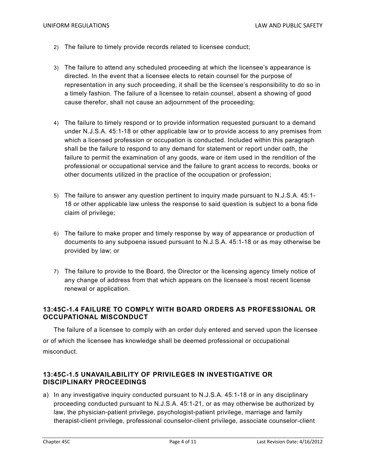- 2) The failure to timely provide records related to licensee conduct;
- 3) The failure to attend any scheduled proceeding at which the licensee's appearance is directed. In the event that a licensee elects to retain counsel for the purpose of representation in any such proceeding, it shall be the licensee's responsibility to do so in a timely fashion. The failure of a licensee to retain counsel, absent a showing of good cause therefor, shall not cause an adjournment of the proceeding;
- 4) The failure to timely respond or to provide information requested pursuant to a demand under N.J.S.A. 45:1-18 or other applicable law or to provide access to any premises from which a licensed profession or occupation is conducted. Included within this paragraph shall be the failure to respond to any demand for statement or report under oath, the failure to permit the examination of any goods, ware or item used in the rendition of the professional or occupational service and the failure to grant access to records, books or other documents utilized in the practice of the occupation or profession;
- 5) The failure to answer any question pertinent to inquiry made pursuant to N.J.S.A. 45:1- 18 or other applicable law unless the response to said question is subject to a bona fide claim of privilege;
- 6) The failure to make proper and timely response by way of appearance or production of documents to any subpoena issued pursuant to N.J.S.A. 45:1-18 or as may otherwise be provided by law; or
- 7) The failure to provide to the Board, the Director or the licensing agency timely notice of any change of address from that which appears on the licensee's most recent license renewal or application.

#### **13:45C-1.4 FAILURE TO COMPLY WITH BOARD ORDERS AS PROFESSIONAL OR OCCUPATIONAL MISCONDUCT**

The failure of a licensee to comply with an order duly entered and served upon the licensee or of which the licensee has knowledge shall be deemed professional or occupational misconduct.

#### **13:45C-1.5 UNAVAILABILITY OF PRIVILEGES IN INVESTIGATIVE OR DISCIPLINARY PROCEEDINGS**

a) In any investigative inquiry conducted pursuant to N.J.S.A. 45:1-18 or in any disciplinary proceeding conducted pursuant to N.J.S.A. 45:1-21, or as may otherwise be authorized by law, the physician-patient privilege, psychologist-patient privilege, marriage and family therapist-client privilege, professional counselor-client privilege, associate counselor-client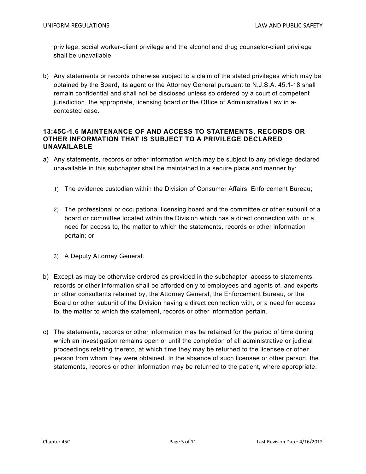privilege, social worker-client privilege and the alcohol and drug counselor-client privilege shall be unavailable.

b) Any statements or records otherwise subject to a claim of the stated privileges which may be obtained by the Board, its agent or the Attorney General pursuant to N.J.S.A. 45:1-18 shall remain confidential and shall not be disclosed unless so ordered by a court of competent jurisdiction, the appropriate, licensing board or the Office of Administrative Law in acontested case.

#### **13:45C-1.6 MAINTENANCE OF AND ACCESS TO STATEMENTS, RECORDS OR OTHER INFORMATION THAT IS SUBJECT TO A PRIVILEGE DECLARED UNAVAILABLE**

- a) Any statements, records or other information which may be subject to any privilege declared unavailable in this subchapter shall be maintained in a secure place and manner by:
	- 1) The evidence custodian within the Division of Consumer Affairs, Enforcement Bureau;
	- 2) The professional or occupational licensing board and the committee or other subunit of a board or committee located within the Division which has a direct connection with, or a need for access to, the matter to which the statements, records or other information pertain; or
	- 3) A Deputy Attorney General.
- b) Except as may be otherwise ordered as provided in the subchapter, access to statements, records or other information shall be afforded only to employees and agents of, and experts or other consultants retained by, the Attorney General, the Enforcement Bureau, or the Board or other subunit of the Division having a direct connection with, or a need for access to, the matter to which the statement, records or other information pertain.
- c) The statements, records or other information may be retained for the period of time during which an investigation remains open or until the completion of all administrative or judicial proceedings relating thereto, at which time they may be returned to the licensee or other person from whom they were obtained. In the absence of such licensee or other person, the statements, records or other information may be returned to the patient, where appropriate.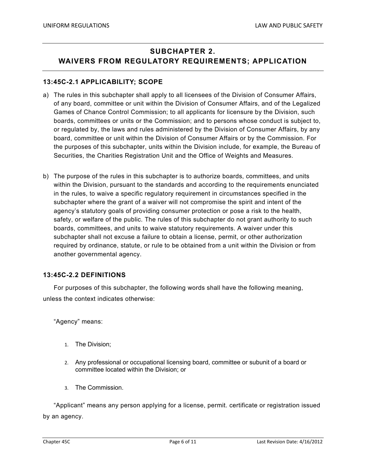# **SUBCHAPTER 2. WAIVERS FROM REGULATORY REQUIREMENTS; APPLICATION**

#### **13:45C-2.1 APPLICABILITY; SCOPE**

- a) The rules in this subchapter shall apply to all licensees of the Division of Consumer Affairs, of any board, committee or unit within the Division of Consumer Affairs, and of the Legalized Games of Chance Control Commission; to all applicants for licensure by the Division, such boards, committees or units or the Commission; and to persons whose conduct is subject to, or regulated by, the laws and rules administered by the Division of Consumer Affairs, by any board, committee or unit within the Division of Consumer Affairs or by the Commission. For the purposes of this subchapter, units within the Division include, for example, the Bureau of Securities, the Charities Registration Unit and the Office of Weights and Measures.
- b) The purpose of the rules in this subchapter is to authorize boards, committees, and units within the Division, pursuant to the standards and according to the requirements enunciated in the rules, to waive a specific regulatory requirement in circumstances specified in the subchapter where the grant of a waiver will not compromise the spirit and intent of the agency's statutory goals of providing consumer protection or pose a risk to the health, safety, or welfare of the public. The rules of this subchapter do not grant authority to such boards, committees, and units to waive statutory requirements. A waiver under this subchapter shall not excuse a failure to obtain a license, permit, or other authorization required by ordinance, statute, or rule to be obtained from a unit within the Division or from another governmental agency.

#### **13:45C-2.2 DEFINITIONS**

For purposes of this subchapter, the following words shall have the following meaning, unless the context indicates otherwise:

"Agency" means:

- 1. The Division;
- 2. Any professional or occupational licensing board, committee or subunit of a board or committee located within the Division; or
- 3. The Commission.

"Applicant" means any person applying for a license, permit. certificate or registration issued by an agency.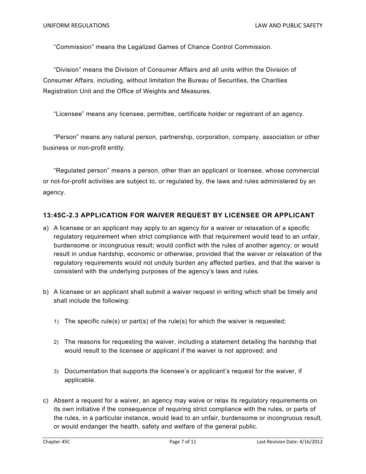"Commission" means the Legalized Games of Chance Control Commission.

"Division" means the Division of Consumer Affairs and all units within the Division of Consumer Affairs, including, without limitation the Bureau of Securities, the Charities Registration Unit and the Office of Weights and Measures.

"Licensee" means any licensee, permittee, certificate holder or registrant of an agency.

"Person" means any natural person, partnership, corporation, company, association or other business or non-profit entity.

"Regulated person" means a person, other than an applicant or licensee, whose commercial or not-for-profit activities are subject to, or regulated by, the laws and rules administered by an agency.

#### **13:45C-2.3 APPLICATION FOR WAIVER REQUEST BY LICENSEE OR APPLICANT**

- a) A licensee or an applicant may apply to an agency for a waiver or relaxation of a specific regulatory requirement when strict compliance with that requirement would lead to an unfair, burdensome or incongruous result; would conflict with the rules of another agency; or would result in undue hardship, economic or otherwise, provided that the waiver or relaxation of the regulatory requirements would not unduly burden any affected parties, and that the waiver is consistent with the underlying purposes of the agency's laws and rules.
- b) A licensee or an applicant shall submit a waiver request in writing which shall be timely and shall include the following:
	- 1) The specific rule(s) or part(s) of the rule(s) for which the waiver is requested;
	- 2) The reasons for requesting the waiver, including a statement detailing the hardship that would result to the licensee or applicant if the waiver is not approved; and
	- 3) Documentation that supports the licensee's or applicant's request for the waiver, if applicable.
- c) Absent a request for a waiver, an agency may waive or relax its regulatory requirements on its own initiative if the consequence of requiring strict compliance with the rules, or parts of the rules, in a particular instance, would lead to an unfair, burdensome or incongruous result, or would endanger the health, safety and welfare of the general public.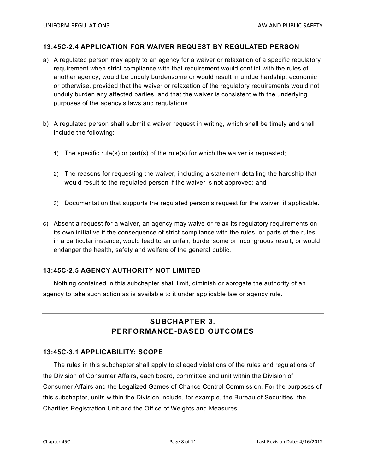#### **13:45C-2.4 APPLICATION FOR WAIVER REQUEST BY REGULATED PERSON**

- a) A regulated person may apply to an agency for a waiver or relaxation of a specific regulatory requirement when strict compliance with that requirement would conflict with the rules of another agency, would be unduly burdensome or would result in undue hardship, economic or otherwise, provided that the waiver or relaxation of the regulatory requirements would not unduly burden any affected parties, and that the waiver is consistent with the underlying purposes of the agency's laws and regulations.
- b) A regulated person shall submit a waiver request in writing, which shall be timely and shall include the following:
	- 1) The specific rule(s) or part(s) of the rule(s) for which the waiver is requested;
	- 2) The reasons for requesting the waiver, including a statement detailing the hardship that would result to the regulated person if the waiver is not approved; and
	- 3) Documentation that supports the regulated person's request for the waiver, if applicable.
- c) Absent a request for a waiver, an agency may waive or relax its regulatory requirements on its own initiative if the consequence of strict compliance with the rules, or parts of the rules, in a particular instance, would lead to an unfair, burdensome or incongruous result, or would endanger the health, safety and welfare of the general public.

#### **13:45C-2.5 AGENCY AUTHORITY NOT LIMITED**

Nothing contained in this subchapter shall limit, diminish or abrogate the authority of an agency to take such action as is available to it under applicable law or agency rule.

### **SUBCHAPTER 3. PERFORMANCE-BASED OUTCOMES**

#### **13:45C-3.1 APPLICABILITY; SCOPE**

The rules in this subchapter shall apply to alleged violations of the rules and regulations of the Division of Consumer Affairs, each board, committee and unit within the Division of Consumer Affairs and the Legalized Games of Chance Control Commission. For the purposes of this subchapter, units within the Division include, for example, the Bureau of Securities, the Charities Registration Unit and the Office of Weights and Measures.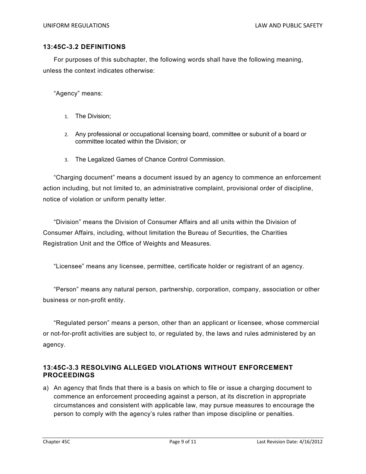#### **13:45C-3.2 DEFINITIONS**

For purposes of this subchapter, the following words shall have the following meaning, unless the context indicates otherwise:

"Agency" means:

- 1. The Division;
- 2. Any professional or occupational licensing board, committee or subunit of a board or committee located within the Division; or
- 3. The Legalized Games of Chance Control Commission.

"Charging document" means a document issued by an agency to commence an enforcement action including, but not limited to, an administrative complaint, provisional order of discipline, notice of violation or uniform penalty letter.

"Division" means the Division of Consumer Affairs and all units within the Division of Consumer Affairs, including, without limitation the Bureau of Securities, the Charities Registration Unit and the Office of Weights and Measures.

"Licensee" means any licensee, permittee, certificate holder or registrant of an agency.

"Person" means any natural person, partnership, corporation, company, association or other business or non-profit entity.

"Regulated person" means a person, other than an applicant or licensee, whose commercial or not-for-profit activities are subject to, or regulated by, the laws and rules administered by an agency.

#### **13:45C-3.3 RESOLVING ALLEGED VIOLATIONS WITHOUT ENFORCEMENT PROCEEDINGS**

a) An agency that finds that there is a basis on which to file or issue a charging document to commence an enforcement proceeding against a person, at its discretion in appropriate circumstances and consistent with applicable law, may pursue measures to encourage the person to comply with the agency's rules rather than impose discipline or penalties.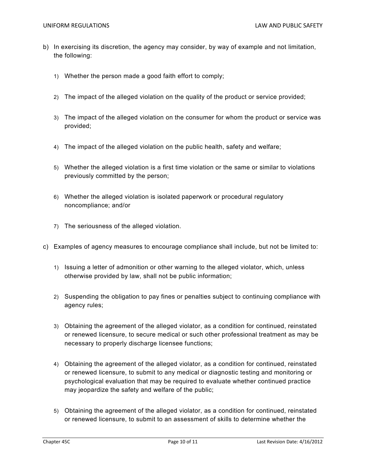- b) In exercising its discretion, the agency may consider, by way of example and not limitation, the following:
	- 1) Whether the person made a good faith effort to comply;
	- 2) The impact of the alleged violation on the quality of the product or service provided;
	- 3) The impact of the alleged violation on the consumer for whom the product or service was provided;
	- 4) The impact of the alleged violation on the public health, safety and welfare;
	- 5) Whether the alleged violation is a first time violation or the same or similar to violations previously committed by the person;
	- 6) Whether the alleged violation is isolated paperwork or procedural regulatory noncompliance; and/or
	- 7) The seriousness of the alleged violation.
- c) Examples of agency measures to encourage compliance shall include, but not be limited to:
	- 1) Issuing a letter of admonition or other warning to the alleged violator, which, unless otherwise provided by law, shall not be public information;
	- 2) Suspending the obligation to pay fines or penalties subject to continuing compliance with agency rules;
	- 3) Obtaining the agreement of the alleged violator, as a condition for continued, reinstated or renewed licensure, to secure medical or such other professional treatment as may be necessary to properly discharge licensee functions;
	- 4) Obtaining the agreement of the alleged violator, as a condition for continued, reinstated or renewed licensure, to submit to any medical or diagnostic testing and monitoring or psychological evaluation that may be required to evaluate whether continued practice may jeopardize the safety and welfare of the public;
	- 5) Obtaining the agreement of the alleged violator, as a condition for continued, reinstated or renewed licensure, to submit to an assessment of skills to determine whether the